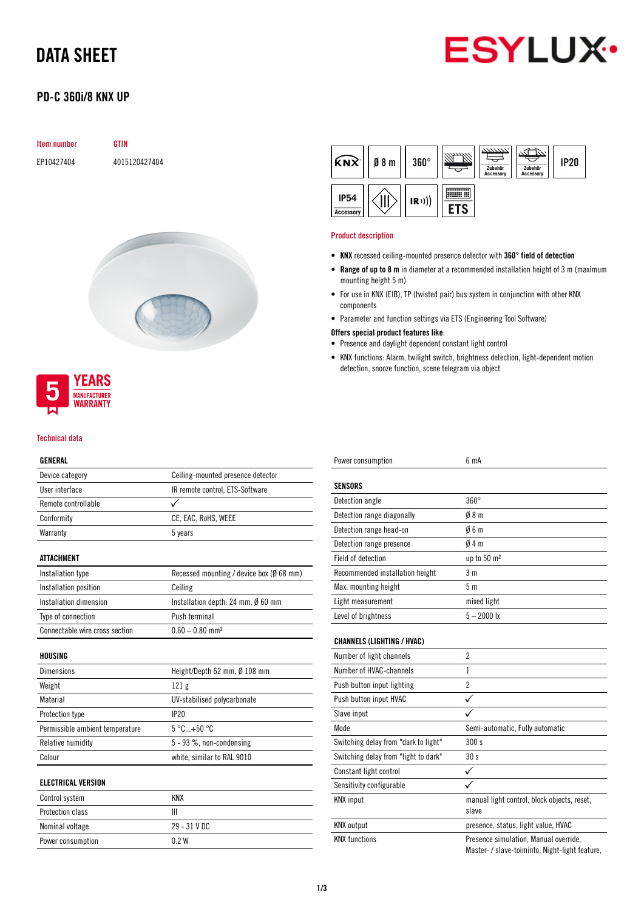# DATA SHEET



## PD-C 360i/8 KNX UP

| <b>Item number</b> | GTIN          |
|--------------------|---------------|
| EP10427404         | 4015120427404 |





#### Technical data

## GENERAL

| GLNLKAL                         |                                          |  |  |
|---------------------------------|------------------------------------------|--|--|
| Device category                 | Ceiling-mounted presence detector        |  |  |
| User interface                  | IR remote control, ETS-Software          |  |  |
| Remote controllable             | ✓                                        |  |  |
| Conformity                      | CE, EAC, RoHS, WEEE                      |  |  |
| Warranty                        | 5 years                                  |  |  |
| <b>ATTACHMENT</b>               |                                          |  |  |
| Installation type               | Recessed mounting / device box (Ø 68 mm) |  |  |
| Installation position           | Ceiling                                  |  |  |
| Installation dimension          | Installation depth: 24 mm, Ø 60 mm       |  |  |
| Type of connection              | Push terminal                            |  |  |
| Connectable wire cross section  | $0.60 - 0.80$ mm <sup>2</sup>            |  |  |
| HOUSING                         |                                          |  |  |
| <b>Dimensions</b>               | Height/Depth 62 mm, Ø 108 mm             |  |  |
| Weight                          | 121 <sub>g</sub>                         |  |  |
| Material                        | UV-stabilised polycarbonate              |  |  |
| Protection type                 | IP20                                     |  |  |
| Permissible ambient temperature | $5^{\circ}$ C+50 $^{\circ}$ C            |  |  |
| Relative humidity               | $5 - 93$ %, non-condensing               |  |  |
| Colour                          | white, similar to RAL 9010               |  |  |
| <b>ELECTRICAL VERSION</b>       |                                          |  |  |
| Control system                  | <b>KNX</b>                               |  |  |
| Protection class                | Ш                                        |  |  |
| 29 - 31 V DC<br>Nominal voltage |                                          |  |  |

Power consumption 0.2 W



#### Product description

- KNX recessed ceiling-mounted presence detector with 360° field of detection
- Range of up to 8 m in diameter at a recommended installation height of 3 m (maximum mounting height 5 m)
- For use in KNX (EIB), TP (twisted pair) bus system in conjunction with other KNX components
- Parameter and function settings via ETS (Engineering Tool Software)

### Offers special product features like:

- Presence and daylight dependent constant light control
- KNX functions: Alarm, twilight switch, brightness detection, light-dependent motion detection, snooze function, scene telegram via object

| Power consumption                    | 6 mA                                                                                    |
|--------------------------------------|-----------------------------------------------------------------------------------------|
| <b>SENSORS</b>                       |                                                                                         |
| Detection angle                      | $360^\circ$                                                                             |
| Detection range diagonally           | 08 <sub>m</sub>                                                                         |
| Detection range head-on              | 06m                                                                                     |
| Detection range presence             | 04m                                                                                     |
| Field of detection                   | up to 50 m <sup>2</sup>                                                                 |
| Recommended installation height      | 3 <sub>m</sub>                                                                          |
| Max. mounting height                 | 5 <sub>m</sub>                                                                          |
| Light measurement                    | mixed light                                                                             |
| Level of brightness                  | $5 - 2000$ lx                                                                           |
| <b>CHANNELS (LIGHTING / HVAC)</b>    |                                                                                         |
| Number of light channels             | $\overline{2}$                                                                          |
| Number of HVAC-channels              | 1                                                                                       |
| Push button input lighting           | $\overline{2}$                                                                          |
| Push button input HVAC               | $\checkmark$                                                                            |
| Slave input                          |                                                                                         |
| Mode                                 | Semi-automatic, Fully automatic                                                         |
| Switching delay from "dark to light" | 300s                                                                                    |
| Switching delay from "light to dark" | 30 <sub>s</sub>                                                                         |
| Constant light control               | ✓                                                                                       |
| Sensitivity configurable             |                                                                                         |
| <b>KNX</b> input                     | manual light control, block objects, reset,<br>slave                                    |
| <b>KNX</b> output                    | presence, status, light value, HVAC                                                     |
| <b>KNX functions</b>                 | Presence simulation, Manual override,<br>Master- / slave-toiminto, Night-light feature, |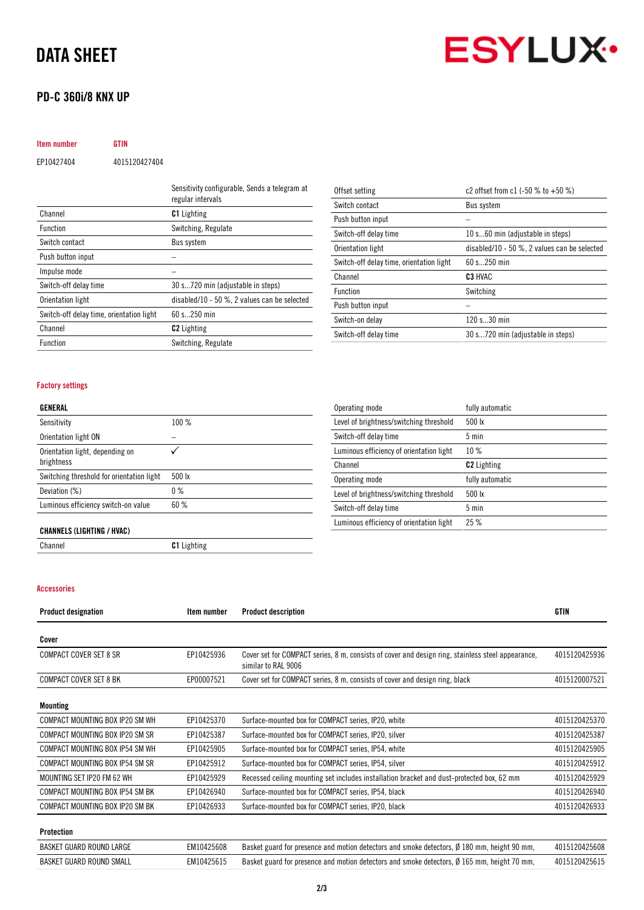## DATA SHEET

## PD-C 360i/8 KNX UP



Item number GTIN EP10427404 4015120427404

|                                          | Sensitivity configurable, Sends a telegram at<br>regular intervals |
|------------------------------------------|--------------------------------------------------------------------|
| Channel                                  | <b>C1</b> Lighting                                                 |
| <b>Function</b>                          | Switching, Regulate                                                |
| Switch contact                           | Bus system                                                         |
| Push button input                        |                                                                    |
| Impulse mode                             |                                                                    |
| Switch-off delay time                    | 30 s720 min (adjustable in steps)                                  |
| Orientation light                        | disabled/10 - 50 $\%$ , 2 values can be selected                   |
| Switch-off delay time, orientation light | $60 s$ 250 min                                                     |
| Channel                                  | <b>C2</b> Lighting                                                 |
| <b>Function</b>                          | Switching, Regulate                                                |

| Offset setting                           | c2 offset from c1 $(-50\%$ to $+50\%)$           |
|------------------------------------------|--------------------------------------------------|
| Switch contact                           | <b>Bus system</b>                                |
| Push button input                        |                                                  |
| Switch-off delay time                    | 10 s60 min (adjustable in steps)                 |
| Orientation light                        | disabled/10 - 50 $\%$ , 2 values can be selected |
| Switch-off delay time, orientation light | $60 s$ 250 min                                   |
| Channel                                  | C <sub>3</sub> HVAC                              |
| <b>Function</b>                          | Switching                                        |
| Push button input                        |                                                  |
| Switch-on delay                          | 120 s30 min                                      |
| Switch-off delay time                    | 30 s720 min (adjustable in steps)                |

## Factory settings

### GENERAL

| Sensitivity                                   | 100 %  |
|-----------------------------------------------|--------|
| Orientation light ON                          |        |
| Orientation light, depending on<br>brightness |        |
| Switching threshold for orientation light     | 500 lx |
| Deviation (%)                                 | $0\%$  |
| Luminous efficiency switch-on value           | 60%    |

| Operating mode                           | fully automatic    |
|------------------------------------------|--------------------|
| Level of brightness/switching threshold  | 500 lx             |
| Switch-off delay time                    | $5 \text{ min}$    |
| Luminous efficiency of orientation light | 10%                |
| Channel                                  | <b>C2</b> Lighting |
| Operating mode                           | fully automatic    |
| Level of brightness/switching threshold  | 500 lx             |
| Switch-off delay time                    | $5 \text{ min}$    |
| Luminous efficiency of orientation light | 25%                |

### CHANNELS (LIGHTING / HVAC)

Channel C1 Lighting

## Accessories

| <b>Product designation</b>      | <b>Item number</b> | <b>Product description</b>                                                                                               | <b>GTIN</b>   |
|---------------------------------|--------------------|--------------------------------------------------------------------------------------------------------------------------|---------------|
| Cover                           |                    |                                                                                                                          |               |
| <b>COMPACT COVER SET 8 SR</b>   | EP10425936         | Cover set for COMPACT series, 8 m, consists of cover and design ring, stainless steel appearance,<br>similar to RAL 9006 | 4015120425936 |
| <b>COMPACT COVER SET 8 BK</b>   | EP00007521         | Cover set for COMPACT series, 8 m, consists of cover and design ring, black                                              | 4015120007521 |
| Mounting                        |                    |                                                                                                                          |               |
| COMPACT MOUNTING BOX IP20 SM WH | EP10425370         | Surface-mounted box for COMPACT series, IP20, white                                                                      | 4015120425370 |
| COMPACT MOUNTING BOX IP20 SM SR | EP10425387         | Surface-mounted box for COMPACT series, IP20, silver                                                                     | 4015120425387 |
| COMPACT MOUNTING BOX IP54 SM WH | EP10425905         | Surface-mounted box for COMPACT series, IP54, white                                                                      | 4015120425905 |
| COMPACT MOUNTING BOX IP54 SM SR | EP10425912         | Surface-mounted box for COMPACT series, IP54, silver                                                                     | 4015120425912 |
| MOUNTING SET IP20 FM 62 WH      | EP10425929         | Recessed ceiling mounting set includes installation bracket and dust-protected box, 62 mm                                | 4015120425929 |
| COMPACT MOUNTING BOX IP54 SM BK | EP10426940         | Surface-mounted box for COMPACT series, IP54, black                                                                      | 4015120426940 |
| COMPACT MOUNTING BOX IP20 SM BK | EP10426933         | Surface-mounted box for COMPACT series, IP20, black                                                                      | 4015120426933 |
| Protection                      |                    |                                                                                                                          |               |
| BASKET GUARD ROUND LARGE        | EM10425608         | Basket guard for presence and motion detectors and smoke detectors, Ø 180 mm, height 90 mm,                              | 4015120425608 |

BASKET GUARD ROUND SMALL EM10425615 Basket guard for presence and motion detectors and smoke detectors, Ø 165 mm, height 70 mm, 4015120425615